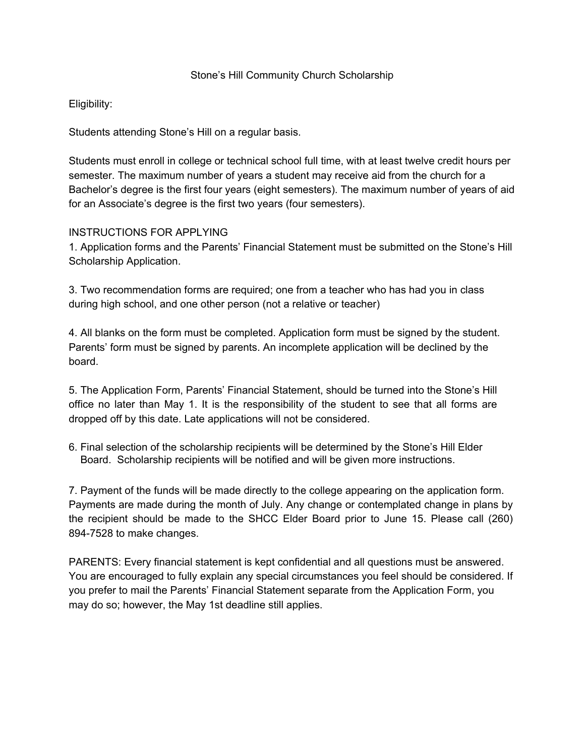#### Stone's Hill Community Church Scholarship

## Eligibility:

Students attending Stone's Hill on a regular basis.

Students must enroll in college or technical school full time, with at least twelve credit hours per semester. The maximum number of years a student may receive aid from the church for a Bachelor's degree is the first four years (eight semesters). The maximum number of years of aid for an Associate's degree is the first two years (four semesters).

#### INSTRUCTIONS FOR APPLYING

1. Application forms and the Parents' Financial Statement must be submitted on the Stone's Hill Scholarship Application.

3. Two recommendation forms are required; one from a teacher who has had you in class during high school, and one other person (not a relative or teacher)

4. All blanks on the form must be completed. Application form must be signed by the student. Parents' form must be signed by parents. An incomplete application will be declined by the board.

5. The Application Form, Parents' Financial Statement, should be turned into the Stone's Hill office no later than May 1. It is the responsibility of the student to see that all forms are dropped off by this date. Late applications will not be considered.

6. Final selection of the scholarship recipients will be determined by the Stone's Hill Elder Board. Scholarship recipients will be notified and will be given more instructions.

7. Payment of the funds will be made directly to the college appearing on the application form. Payments are made during the month of July. Any change or contemplated change in plans by the recipient should be made to the SHCC Elder Board prior to June 15. Please call (260) 894-7528 to make changes.

PARENTS: Every financial statement is kept confidential and all questions must be answered. You are encouraged to fully explain any special circumstances you feel should be considered. If you prefer to mail the Parents' Financial Statement separate from the Application Form, you may do so; however, the May 1st deadline still applies.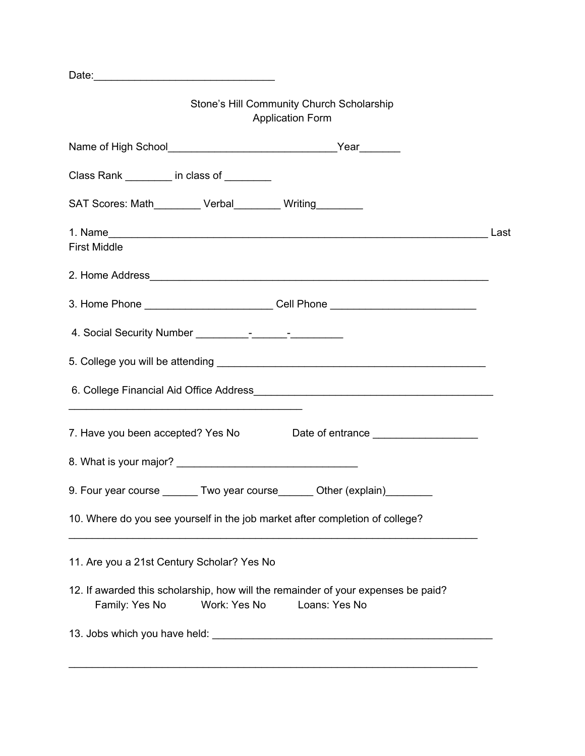Stone's Hill Community Church Scholarship Application Form Name of High School Name of High School Near Class Rank \_\_\_\_\_\_\_\_ in class of \_\_\_\_\_\_\_\_ SAT Scores: Math\_\_\_\_\_\_\_\_ Verbal\_\_\_\_\_\_\_\_ Writing\_\_\_\_\_\_\_\_ 1. Name Last First Middle 2. Home Address\_\_\_\_\_\_\_\_\_\_\_\_\_\_\_\_\_\_\_\_\_\_\_\_\_\_\_\_\_\_\_\_\_\_\_\_\_\_\_\_\_\_\_\_\_\_\_\_\_\_\_\_\_\_\_\_\_\_ 3. Home Phone \_\_\_\_\_\_\_\_\_\_\_\_\_\_\_\_\_\_\_\_\_\_ Cell Phone \_\_\_\_\_\_\_\_\_\_\_\_\_\_\_\_\_\_\_\_\_\_\_\_\_ 4. Social Security Number \_\_\_\_\_\_\_\_\_-\_\_\_\_\_\_-\_\_\_\_\_\_\_\_\_ 5. College you will be attending **EXECUTE:**  $\frac{1}{2}$  and  $\frac{1}{2}$  and  $\frac{1}{2}$  and  $\frac{1}{2}$  and  $\frac{1}{2}$  and  $\frac{1}{2}$  and  $\frac{1}{2}$  and  $\frac{1}{2}$  and  $\frac{1}{2}$  and  $\frac{1}{2}$  and  $\frac{1}{2}$  and  $\frac{1}{2}$  and  $\frac{1}{2}$  6. College Financial Aid Office Address \_\_\_\_\_\_\_\_\_\_\_\_\_\_\_\_\_\_\_\_\_\_\_\_\_\_\_\_\_\_\_\_\_\_\_\_\_\_\_\_ 7. Have you been accepted? Yes No Date of entrance 8. What is your major? 9. Four year course \_\_\_\_\_\_ Two year course\_\_\_\_\_ Other (explain)\_\_\_\_\_\_\_ 10. Where do you see yourself in the job market after completion of college? \_\_\_\_\_\_\_\_\_\_\_\_\_\_\_\_\_\_\_\_\_\_\_\_\_\_\_\_\_\_\_\_\_\_\_\_\_\_\_\_\_\_\_\_\_\_\_\_\_\_\_\_\_\_\_\_\_\_\_\_\_\_\_\_\_\_\_\_\_\_ 11. Are you a 21st Century Scholar? Yes No 12. If awarded this scholarship, how will the remainder of your expenses be paid? Family: Yes No Work: Yes No Loans: Yes No 13. Jobs which you have held: \_\_\_\_\_\_\_\_\_\_\_\_\_\_\_\_\_\_\_\_\_\_\_\_\_\_\_\_\_\_\_\_\_\_\_\_\_\_\_\_\_\_\_\_\_\_\_\_ \_\_\_\_\_\_\_\_\_\_\_\_\_\_\_\_\_\_\_\_\_\_\_\_\_\_\_\_\_\_\_\_\_\_\_\_\_\_\_\_\_\_\_\_\_\_\_\_\_\_\_\_\_\_\_\_\_\_\_\_\_\_\_\_\_\_\_\_\_\_

Date:\_\_\_\_\_\_\_\_\_\_\_\_\_\_\_\_\_\_\_\_\_\_\_\_\_\_\_\_\_\_\_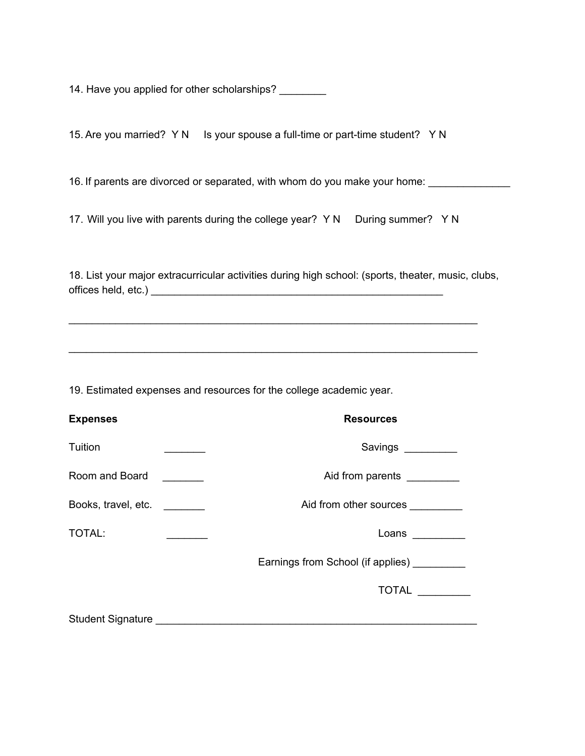14. Have you applied for other scholarships?

15. Are you married? Y N Is your spouse a full-time or part-time student? Y N

16. If parents are divorced or separated, with whom do you make your home: \_\_\_\_\_\_\_\_\_\_\_\_

17. Will you live with parents during the college year? Y N During summer? Y N

18. List your major extracurricular activities during high school: (sports, theater, music, clubs, offices held, etc.) **with a set of the set of the set of the set of the set of the set of the set of the set of the set of the set of the set of the set of the set of the set of the set of the set of the set of the set of** 

\_\_\_\_\_\_\_\_\_\_\_\_\_\_\_\_\_\_\_\_\_\_\_\_\_\_\_\_\_\_\_\_\_\_\_\_\_\_\_\_\_\_\_\_\_\_\_\_\_\_\_\_\_\_\_\_\_\_\_\_\_\_\_\_\_\_\_\_\_\_

\_\_\_\_\_\_\_\_\_\_\_\_\_\_\_\_\_\_\_\_\_\_\_\_\_\_\_\_\_\_\_\_\_\_\_\_\_\_\_\_\_\_\_\_\_\_\_\_\_\_\_\_\_\_\_\_\_\_\_\_\_\_\_\_\_\_\_\_\_\_

19. Estimated expenses and resources for the college academic year.

| <b>Expenses</b>     | <b>Resources</b>                                             |
|---------------------|--------------------------------------------------------------|
| Tuition             | Savings                                                      |
| Room and Board      | Aid from parents                                             |
| Books, travel, etc. | Aid from other sources                                       |
| <b>TOTAL:</b>       | Loans                                                        |
|                     | Earnings from School (if applies)                            |
|                     | TOTAL                                                        |
|                     | Student Signature <b>Student Signature Student Signature</b> |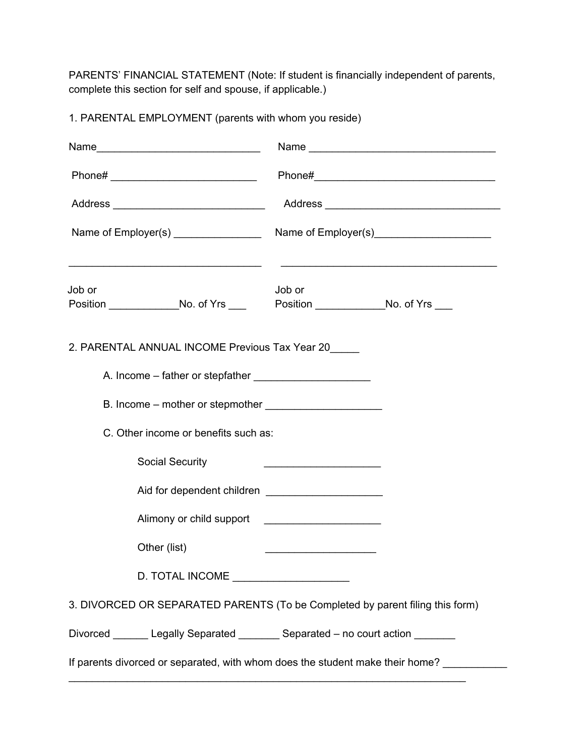PARENTS' FINANCIAL STATEMENT (Note: If student is financially independent of parents, complete this section for self and spouse, if applicable.)

1. PARENTAL EMPLOYMENT (parents with whom you reside)

| Job or                                         | <u> 2000 - Paris Alexandria de Carlos III e a contra a contra de la contra de la contra de la contra de la contra</u><br>Job or |  |  |  |  |  |
|------------------------------------------------|---------------------------------------------------------------------------------------------------------------------------------|--|--|--|--|--|
| 2. PARENTAL ANNUAL INCOME Previous Tax Year 20 |                                                                                                                                 |  |  |  |  |  |
|                                                |                                                                                                                                 |  |  |  |  |  |
|                                                |                                                                                                                                 |  |  |  |  |  |
| C. Other income or benefits such as:           |                                                                                                                                 |  |  |  |  |  |
| <b>Social Security</b>                         | <u> 1989 - Johann Barn, fransk politik amerikansk politik (</u>                                                                 |  |  |  |  |  |
|                                                |                                                                                                                                 |  |  |  |  |  |
|                                                |                                                                                                                                 |  |  |  |  |  |
| Other (list)                                   | <u> 1989 - Johann Stein, mars et al. 1989 - Anna ann an t-</u>                                                                  |  |  |  |  |  |
| D. TOTAL INCOME _____________________          |                                                                                                                                 |  |  |  |  |  |
|                                                | 3. DIVORCED OR SEPARATED PARENTS (To be Completed by parent filing this form)                                                   |  |  |  |  |  |
|                                                | Divorced _______ Legally Separated _______ Separated - no court action _______                                                  |  |  |  |  |  |
|                                                | If parents divorced or separated, with whom does the student make their home? __________                                        |  |  |  |  |  |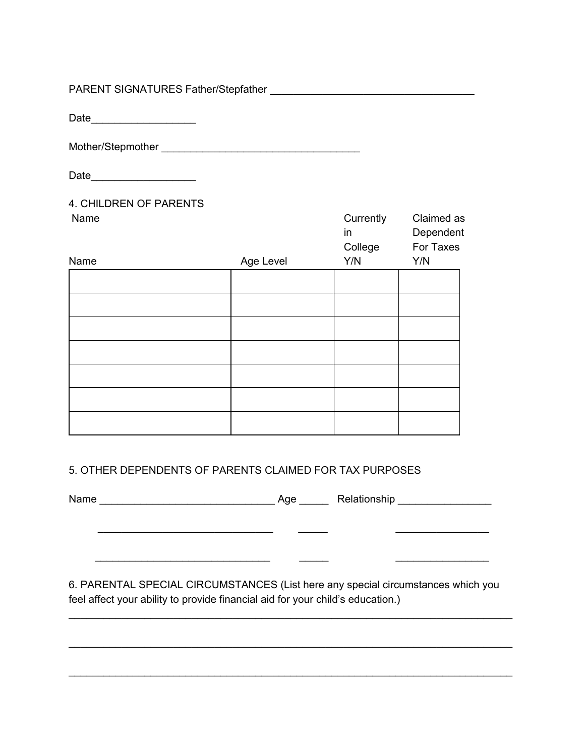## PARENT SIGNATURES Father/Stepfather \_\_\_\_\_\_\_\_\_\_\_\_\_\_\_\_\_\_\_\_\_\_\_\_\_\_\_\_\_\_\_\_\_\_\_

Date\_\_\_\_\_\_\_\_\_\_\_\_\_\_\_\_\_\_

Mother/Stepmother \_\_\_\_\_\_\_\_\_\_\_\_\_\_\_\_\_\_\_\_\_\_\_\_\_\_\_\_\_\_\_\_\_\_

Date\_\_\_\_\_\_\_\_\_\_\_\_\_\_\_\_\_\_

#### 4. CHILDREN OF PARENTS Name Currently Claimed

| Name |           | Currently<br>in<br>College | Claimed as<br>Dependent<br>For Taxes |
|------|-----------|----------------------------|--------------------------------------|
| Name | Age Level | Y/N                        | Y/N                                  |
|      |           |                            |                                      |
|      |           |                            |                                      |
|      |           |                            |                                      |
|      |           |                            |                                      |
|      |           |                            |                                      |
|      |           |                            |                                      |
|      |           |                            |                                      |

# 5. OTHER DEPENDENTS OF PARENTS CLAIMED FOR TAX PURPOSES

\_\_\_\_\_\_\_\_\_\_\_\_\_\_\_\_\_\_\_\_\_\_\_\_\_\_\_\_\_\_ \_\_\_\_\_ \_\_\_\_\_\_\_\_\_\_\_\_\_\_\_\_

Name \_\_\_\_\_\_\_\_\_\_\_\_\_\_\_\_\_\_\_\_\_\_\_\_\_\_\_\_\_\_ Age \_\_\_\_\_ Relationship \_\_\_\_\_\_\_\_\_\_\_\_\_\_\_\_

 $\overline{\phantom{a}}$  , where  $\overline{\phantom{a}}$  , where  $\overline{\phantom{a}}$ 

6. PARENTAL SPECIAL CIRCUMSTANCES (List here any special circumstances which you feel affect your ability to provide financial aid for your child's education.)

\_\_\_\_\_\_\_\_\_\_\_\_\_\_\_\_\_\_\_\_\_\_\_\_\_\_\_\_\_\_\_\_\_\_\_\_\_\_\_\_\_\_\_\_\_\_\_\_\_\_\_\_\_\_\_\_\_\_\_\_\_\_\_\_\_\_\_\_\_\_\_\_\_\_\_\_

\_\_\_\_\_\_\_\_\_\_\_\_\_\_\_\_\_\_\_\_\_\_\_\_\_\_\_\_\_\_\_\_\_\_\_\_\_\_\_\_\_\_\_\_\_\_\_\_\_\_\_\_\_\_\_\_\_\_\_\_\_\_\_\_\_\_\_\_\_\_\_\_\_\_\_\_

\_\_\_\_\_\_\_\_\_\_\_\_\_\_\_\_\_\_\_\_\_\_\_\_\_\_\_\_\_\_\_\_\_\_\_\_\_\_\_\_\_\_\_\_\_\_\_\_\_\_\_\_\_\_\_\_\_\_\_\_\_\_\_\_\_\_\_\_\_\_\_\_\_\_\_\_